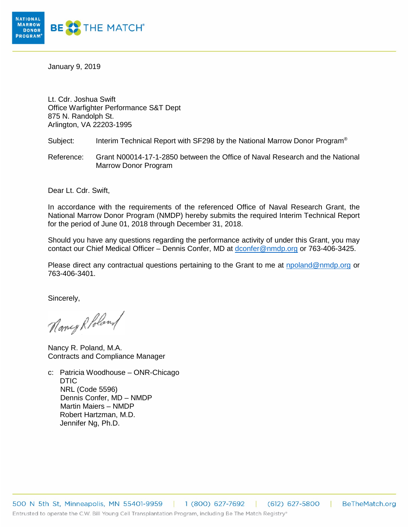

January 9, 2019

Lt. Cdr. Joshua Swift Office Warfighter Performance S&T Dept 875 N. Randolph St. Arlington, VA 22203-1995

Subject: Interim Technical Report with SF298 by the National Marrow Donor Program<sup>®</sup>

Reference: Grant N00014-17-1-2850 between the Office of Naval Research and the National Marrow Donor Program

Dear Lt. Cdr. Swift,

In accordance with the requirements of the referenced Office of Naval Research Grant, the National Marrow Donor Program (NMDP) hereby submits the required Interim Technical Report for the period of June 01, 2018 through December 31, 2018.

Should you have any questions regarding the performance activity of under this Grant, you may contact our Chief Medical Officer – Dennis Confer, MD at [dconfer@nmdp.org](mailto:dconfer@nmdp.org) or 763-406-3425.

Please direct any contractual questions pertaining to the Grant to me at [npoland@nmdp.org](mailto:npoland@nmdp.org) or 763-406-3401.

Sincerely,

Nancy Robland

Nancy R. Poland, M.A. Contracts and Compliance Manager

c: Patricia Woodhouse – ONR-Chicago DTIC NRL (Code 5596) Dennis Confer, MD – NMDP Martin Maiers – NMDP Robert Hartzman, M.D. Jennifer Ng, Ph.D.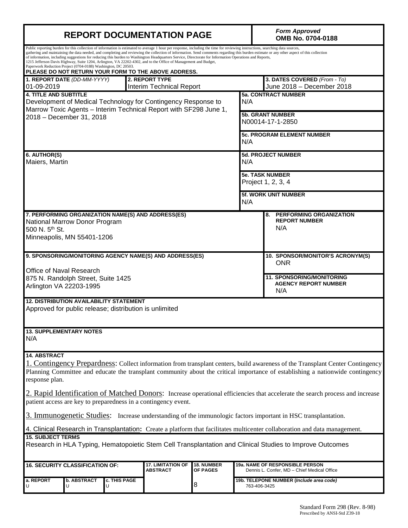|                                                                                                                                                                                                                                                                                                                                                                                                                                                                                                                                                                                                                                                                                                                                                                                    | <b>REPORT DOCUMENTATION PAGE</b>       | <b>Form Approved</b><br>OMB No. 0704-0188 |                                             |                               |                                             |                                                                                       |  |  |
|------------------------------------------------------------------------------------------------------------------------------------------------------------------------------------------------------------------------------------------------------------------------------------------------------------------------------------------------------------------------------------------------------------------------------------------------------------------------------------------------------------------------------------------------------------------------------------------------------------------------------------------------------------------------------------------------------------------------------------------------------------------------------------|----------------------------------------|-------------------------------------------|---------------------------------------------|-------------------------------|---------------------------------------------|---------------------------------------------------------------------------------------|--|--|
| Public reporting burden for this collection of information is estimated to average 1 hour per response, including the time for reviewing instructions, searching data sources,<br>gathering and maintaining the data needed, and completing and reviewing the collection of information. Send comments regarding this burden estimate or any other aspect of this collection<br>of information, including suggestions for reducing this burden to Washington Headquarters Service, Directorate for Information Operations and Reports,<br>1215 Jefferson Davis Highway, Suite 1204, Arlington, VA 22202-4302, and to the Office of Management and Budget,<br>Paperwork Reduction Project (0704-0188) Washington, DC 20503.<br>PLEASE DO NOT RETURN YOUR FORM TO THE ABOVE ADDRESS. |                                        |                                           |                                             |                               |                                             |                                                                                       |  |  |
| 01-09-2019                                                                                                                                                                                                                                                                                                                                                                                                                                                                                                                                                                                                                                                                                                                                                                         | 1. REPORT DATE (DD-MM-YYYY)            |                                           | 2. REPORT TYPE<br>Interim Technical Report  |                               |                                             | 3. DATES COVERED (From - To)<br>June 2018 - December 2018                             |  |  |
| <b>4. TITLE AND SUBTITLE</b><br>Development of Medical Technology for Contingency Response to<br>Marrow Toxic Agents - Interim Technical Report with SF298 June 1,                                                                                                                                                                                                                                                                                                                                                                                                                                                                                                                                                                                                                 |                                        |                                           | N/A                                         | <b>5a. CONTRACT NUMBER</b>    |                                             |                                                                                       |  |  |
| 2018 - December 31, 2018<br>N/A                                                                                                                                                                                                                                                                                                                                                                                                                                                                                                                                                                                                                                                                                                                                                    |                                        |                                           |                                             |                               | <b>5b. GRANT NUMBER</b><br>N00014-17-1-2850 |                                                                                       |  |  |
|                                                                                                                                                                                                                                                                                                                                                                                                                                                                                                                                                                                                                                                                                                                                                                                    |                                        |                                           |                                             |                               | <b>5c. PROGRAM ELEMENT NUMBER</b>           |                                                                                       |  |  |
| 6. AUTHOR(S)<br>Maiers, Martin                                                                                                                                                                                                                                                                                                                                                                                                                                                                                                                                                                                                                                                                                                                                                     |                                        |                                           |                                             |                               | 5d. PROJECT NUMBER<br>N/A                   |                                                                                       |  |  |
| N/A                                                                                                                                                                                                                                                                                                                                                                                                                                                                                                                                                                                                                                                                                                                                                                                |                                        |                                           |                                             |                               |                                             | <b>5e. TASK NUMBER</b><br>Project 1, 2, 3, 4                                          |  |  |
|                                                                                                                                                                                                                                                                                                                                                                                                                                                                                                                                                                                                                                                                                                                                                                                    |                                        |                                           |                                             |                               | 5f. WORK UNIT NUMBER                        |                                                                                       |  |  |
| 7. PERFORMING ORGANIZATION NAME(S) AND ADDRESS(ES)<br>National Marrow Donor Program<br>500 N. 5th St.<br>Minneapolis, MN 55401-1206                                                                                                                                                                                                                                                                                                                                                                                                                                                                                                                                                                                                                                                |                                        |                                           |                                             |                               |                                             | <b>PERFORMING ORGANIZATION</b><br>8.<br><b>REPORT NUMBER</b><br>N/A                   |  |  |
| 9. SPONSORING/MONITORING AGENCY NAME(S) AND ADDRESS(ES)                                                                                                                                                                                                                                                                                                                                                                                                                                                                                                                                                                                                                                                                                                                            |                                        |                                           |                                             |                               |                                             | 10. SPONSOR/MONITOR'S ACRONYM(S)<br><b>ONR</b>                                        |  |  |
| Office of Naval Research<br>875 N. Randolph Street, Suite 1425<br>Arlington VA 22203-1995                                                                                                                                                                                                                                                                                                                                                                                                                                                                                                                                                                                                                                                                                          |                                        |                                           |                                             |                               |                                             | <b>11. SPONSORING/MONITORING</b><br><b>AGENCY REPORT NUMBER</b><br>N/A                |  |  |
| <b>12. DISTRIBUTION AVAILABILITY STATEMENT</b><br>Approved for public release; distribution is unlimited                                                                                                                                                                                                                                                                                                                                                                                                                                                                                                                                                                                                                                                                           |                                        |                                           |                                             |                               |                                             |                                                                                       |  |  |
| <b>13. SUPPLEMENTARY NOTES</b><br>N/A                                                                                                                                                                                                                                                                                                                                                                                                                                                                                                                                                                                                                                                                                                                                              |                                        |                                           |                                             |                               |                                             |                                                                                       |  |  |
| <b>14. ABSTRACT</b><br>1. Contingency Prepardness: Collect information from transplant centers, build awareness of the Transplant Center Contingency<br>Planning Committee and educate the transplant community about the critical importance of establishing a nationwide contingency<br>response plan.<br>2. Rapid Identification of Matched Donors: Increase operational efficiencies that accelerate the search process and increase<br>patient access are key to preparedness in a contingency event.<br>3. Immunogenetic Studies: Increase understanding of the immunologic factors important in HSC transplantation.<br>4. Clinical Research in Transplantation: Create a platform that facilitates multicenter collaboration and data management.                          |                                        |                                           |                                             |                               |                                             |                                                                                       |  |  |
| <b>15. SUBJECT TERMS</b><br>Research in HLA Typing, Hematopoietic Stem Cell Transplantation and Clinical Studies to Improve Outcomes                                                                                                                                                                                                                                                                                                                                                                                                                                                                                                                                                                                                                                               |                                        |                                           |                                             |                               |                                             |                                                                                       |  |  |
|                                                                                                                                                                                                                                                                                                                                                                                                                                                                                                                                                                                                                                                                                                                                                                                    | <b>16. SECURITY CLASSIFICATION OF:</b> |                                           | <b>17. LIMITATION OF</b><br><b>ABSTRACT</b> | 18. NUMBER<br><b>OF PAGES</b> |                                             | <b>19a. NAME OF RESPONSIBLE PERSON</b><br>Dennis L. Confer, MD - Chief Medical Office |  |  |
| a. REPORT                                                                                                                                                                                                                                                                                                                                                                                                                                                                                                                                                                                                                                                                                                                                                                          | b. ABSTRACT<br>U                       | c. THIS PAGE<br>U                         |                                             | 8                             | 763-406-3425                                | 19b. TELEPONE NUMBER ( <i>Include area code)</i>                                      |  |  |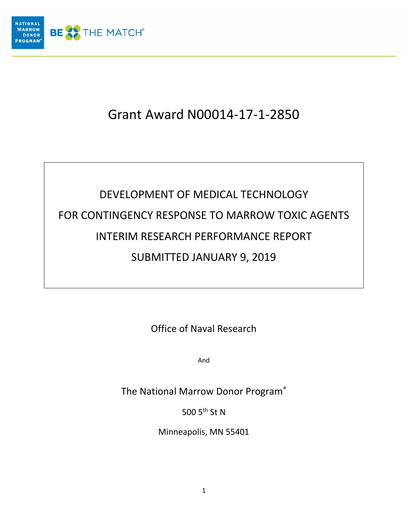

# Grant Award N00014-17-1-2850

# DEVELOPMENT OF MEDICAL TECHNOLOGY FOR CONTINGENCY RESPONSE TO MARROW TOXIC AGENTS INTERIM RESEARCH PERFORMANCE REPORT SUBMITTED JANUARY 9, 2019

Office of Naval Research

And

The National Marrow Donor Program®

500 5<sup>th</sup> St N

Minneapolis, MN 55401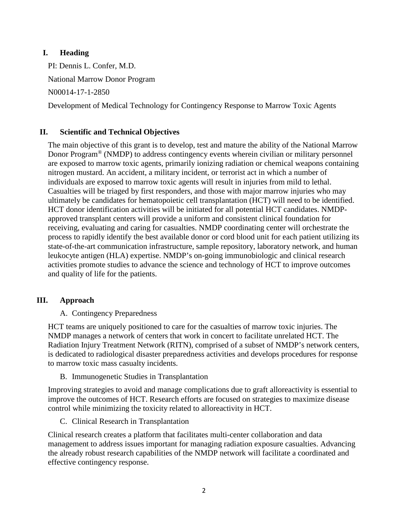# **I. Heading**

PI: Dennis L. Confer, M.D.

National Marrow Donor Program

N00014-17-1-2850

Development of Medical Technology for Contingency Response to Marrow Toxic Agents

# **II. Scientific and Technical Objectives**

The main objective of this grant is to develop, test and mature the ability of the National Marrow Donor Program® (NMDP) to address contingency events wherein civilian or military personnel are exposed to marrow toxic agents, primarily ionizing radiation or chemical weapons containing nitrogen mustard. An accident, a military incident, or terrorist act in which a number of individuals are exposed to marrow toxic agents will result in injuries from mild to lethal. Casualties will be triaged by first responders, and those with major marrow injuries who may ultimately be candidates for hematopoietic cell transplantation (HCT) will need to be identified. HCT donor identification activities will be initiated for all potential HCT candidates. NMDPapproved transplant centers will provide a uniform and consistent clinical foundation for receiving, evaluating and caring for casualties. NMDP coordinating center will orchestrate the process to rapidly identify the best available donor or cord blood unit for each patient utilizing its state-of-the-art communication infrastructure, sample repository, laboratory network, and human leukocyte antigen (HLA) expertise. NMDP's on-going immunobiologic and clinical research activities promote studies to advance the science and technology of HCT to improve outcomes and quality of life for the patients.

# **III. Approach**

# A. Contingency Preparedness

HCT teams are uniquely positioned to care for the casualties of marrow toxic injuries. The NMDP manages a network of centers that work in concert to facilitate unrelated HCT. The Radiation Injury Treatment Network (RITN), comprised of a subset of NMDP's network centers, is dedicated to radiological disaster preparedness activities and develops procedures for response to marrow toxic mass casualty incidents.

# B. Immunogenetic Studies in Transplantation

Improving strategies to avoid and manage complications due to graft alloreactivity is essential to improve the outcomes of HCT. Research efforts are focused on strategies to maximize disease control while minimizing the toxicity related to alloreactivity in HCT.

C. Clinical Research in Transplantation

Clinical research creates a platform that facilitates multi-center collaboration and data management to address issues important for managing radiation exposure casualties. Advancing the already robust research capabilities of the NMDP network will facilitate a coordinated and effective contingency response.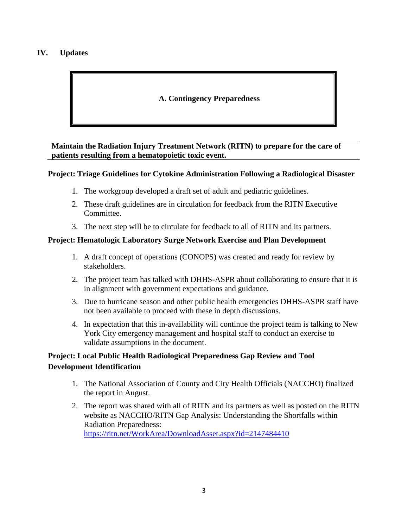# **IV. Updates**

# **A. Contingency Preparedness**

**Maintain the Radiation Injury Treatment Network (RITN) to prepare for the care of patients resulting from a hematopoietic toxic event.** 

#### **Project: Triage Guidelines for Cytokine Administration Following a Radiological Disaster**

- 1. The workgroup developed a draft set of adult and pediatric guidelines.
- 2. These draft guidelines are in circulation for feedback from the RITN Executive Committee.
- 3. The next step will be to circulate for feedback to all of RITN and its partners.

#### **Project: Hematologic Laboratory Surge Network Exercise and Plan Development**

- 1. A draft concept of operations (CONOPS) was created and ready for review by stakeholders.
- 2. The project team has talked with DHHS-ASPR about collaborating to ensure that it is in alignment with government expectations and guidance.
- 3. Due to hurricane season and other public health emergencies DHHS-ASPR staff have not been available to proceed with these in depth discussions.
- 4. In expectation that this in-availability will continue the project team is talking to New York City emergency management and hospital staff to conduct an exercise to validate assumptions in the document.

# **Project: Local Public Health Radiological Preparedness Gap Review and Tool Development Identification**

- 1. The National Association of County and City Health Officials (NACCHO) finalized the report in August.
- 2. The report was shared with all of RITN and its partners as well as posted on the RITN website as NACCHO/RITN Gap Analysis: Understanding the Shortfalls within Radiation Preparedness: <https://ritn.net/WorkArea/DownloadAsset.aspx?id=2147484410>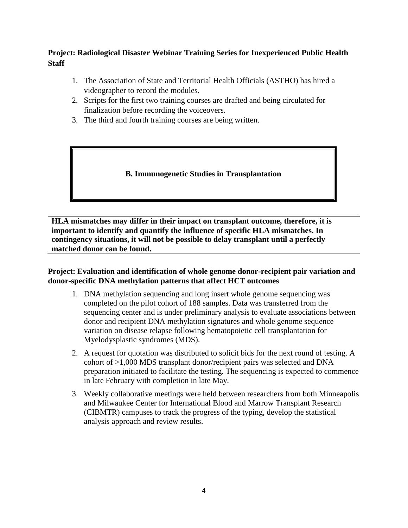# **Project: Radiological Disaster Webinar Training Series for Inexperienced Public Health Staff**

- 1. The Association of State and Territorial Health Officials (ASTHO) has hired a videographer to record the modules.
- 2. Scripts for the first two training courses are drafted and being circulated for finalization before recording the voiceovers.
- 3. The third and fourth training courses are being written.

**B. Immunogenetic Studies in Transplantation**

**HLA mismatches may differ in their impact on transplant outcome, therefore, it is important to identify and quantify the influence of specific HLA mismatches. In contingency situations, it will not be possible to delay transplant until a perfectly matched donor can be found.**

# **Project: Evaluation and identification of whole genome donor-recipient pair variation and donor-specific DNA methylation patterns that affect HCT outcomes**

- 1. DNA methylation sequencing and long insert whole genome sequencing was completed on the pilot cohort of 188 samples. Data was transferred from the sequencing center and is under preliminary analysis to evaluate associations between donor and recipient DNA methylation signatures and whole genome sequence variation on disease relapse following hematopoietic cell transplantation for Myelodysplastic syndromes (MDS).
- 2. A request for quotation was distributed to solicit bids for the next round of testing. A cohort of >1,000 MDS transplant donor/recipient pairs was selected and DNA preparation initiated to facilitate the testing. The sequencing is expected to commence in late February with completion in late May.
- 3. Weekly collaborative meetings were held between researchers from both Minneapolis and Milwaukee Center for International Blood and Marrow Transplant Research (CIBMTR) campuses to track the progress of the typing, develop the statistical analysis approach and review results.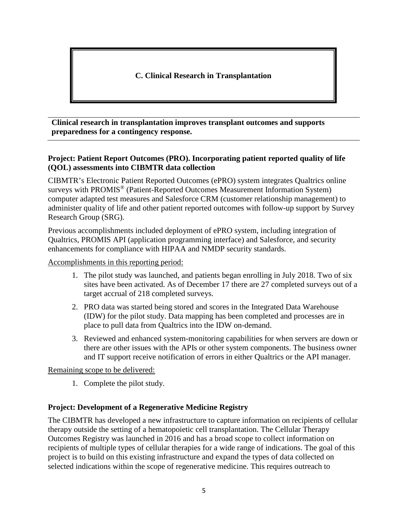**C. Clinical Research in Transplantation**

**Clinical research in transplantation improves transplant outcomes and supports preparedness for a contingency response.**

#### **Project: Patient Report Outcomes (PRO). Incorporating patient reported quality of life (QOL) assessments into CIBMTR data collection**

CIBMTR's Electronic Patient Reported Outcomes (ePRO) system integrates Qualtrics online surveys with PROMIS® (Patient-Reported Outcomes Measurement Information System) computer adapted test measures and Salesforce CRM (customer relationship management) to administer quality of life and other patient reported outcomes with follow-up support by Survey Research Group (SRG).

Previous accomplishments included deployment of ePRO system, including integration of Qualtrics, PROMIS API (application programming interface) and Salesforce, and security enhancements for compliance with HIPAA and NMDP security standards.

Accomplishments in this reporting period:

- 1. The pilot study was launched, and patients began enrolling in July 2018. Two of six sites have been activated. As of December 17 there are 27 completed surveys out of a target accrual of 218 completed surveys.
- 2. PRO data was started being stored and scores in the Integrated Data Warehouse (IDW) for the pilot study. Data mapping has been completed and processes are in place to pull data from Qualtrics into the IDW on-demand.
- 3. Reviewed and enhanced system-monitoring capabilities for when servers are down or there are other issues with the APIs or other system components. The business owner and IT support receive notification of errors in either Qualtrics or the API manager.

Remaining scope to be delivered:

1. Complete the pilot study.

# **Project: Development of a Regenerative Medicine Registry**

The CIBMTR has developed a new infrastructure to capture information on recipients of cellular therapy outside the setting of a hematopoietic cell transplantation. The Cellular Therapy Outcomes Registry was launched in 2016 and has a broad scope to collect information on recipients of multiple types of cellular therapies for a wide range of indications. The goal of this project is to build on this existing infrastructure and expand the types of data collected on selected indications within the scope of regenerative medicine. This requires outreach to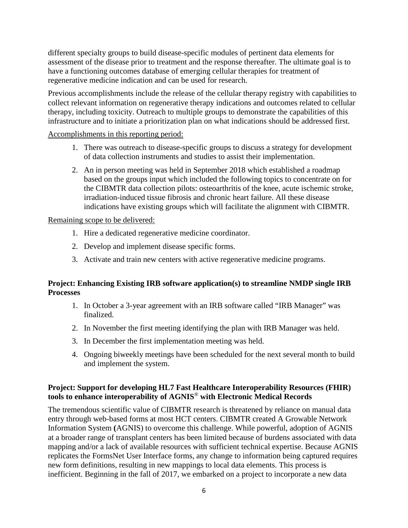different specialty groups to build disease-specific modules of pertinent data elements for assessment of the disease prior to treatment and the response thereafter. The ultimate goal is to have a functioning outcomes database of emerging cellular therapies for treatment of regenerative medicine indication and can be used for research.

Previous accomplishments include the release of the cellular therapy registry with capabilities to collect relevant information on regenerative therapy indications and outcomes related to cellular therapy, including toxicity. Outreach to multiple groups to demonstrate the capabilities of this infrastructure and to initiate a prioritization plan on what indications should be addressed first.

#### Accomplishments in this reporting period:

- 1. There was outreach to disease-specific groups to discuss a strategy for development of data collection instruments and studies to assist their implementation.
- 2. An in person meeting was held in September 2018 which established a roadmap based on the groups input which included the following topics to concentrate on for the CIBMTR data collection pilots: osteoarthritis of the knee, acute ischemic stroke, irradiation-induced tissue fibrosis and chronic heart failure. All these disease indications have existing groups which will facilitate the alignment with CIBMTR.

#### Remaining scope to be delivered:

- 1. Hire a dedicated regenerative medicine coordinator.
- 2. Develop and implement disease specific forms.
- 3. Activate and train new centers with active regenerative medicine programs.

# **Project: Enhancing Existing IRB software application(s) to streamline NMDP single IRB Processes**

- 1. In October a 3-year agreement with an IRB software called "IRB Manager" was finalized.
- 2. In November the first meeting identifying the plan with IRB Manager was held.
- 3. In December the first implementation meeting was held.
- 4. Ongoing biweekly meetings have been scheduled for the next several month to build and implement the system.

# **Project: Support for developing HL7 Fast Healthcare Interoperability Resources (FHIR) tools to enhance interoperability of AGNIS**® **with Electronic Medical Records**

The tremendous scientific value of CIBMTR research is threatened by reliance on manual data entry through web-based forms at most HCT centers. CIBMTR created A Growable Network Information System **(**AGNIS) to overcome this challenge. While powerful, adoption of AGNIS at a broader range of transplant centers has been limited because of burdens associated with data mapping and/or a lack of available resources with sufficient technical expertise. Because AGNIS replicates the FormsNet User Interface forms, any change to information being captured requires new form definitions, resulting in new mappings to local data elements. This process is inefficient. Beginning in the fall of 2017, we embarked on a project to incorporate a new data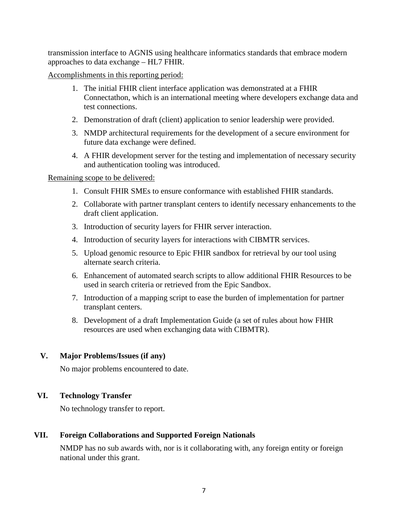transmission interface to AGNIS using healthcare informatics standards that embrace modern approaches to data exchange – HL7 FHIR.

Accomplishments in this reporting period:

- 1. The initial FHIR client interface application was demonstrated at a FHIR Connectathon, which is an international meeting where developers exchange data and test connections.
- 2. Demonstration of draft (client) application to senior leadership were provided.
- 3. NMDP architectural requirements for the development of a secure environment for future data exchange were defined.
- 4. A FHIR development server for the testing and implementation of necessary security and authentication tooling was introduced.

Remaining scope to be delivered:

- 1. Consult FHIR SMEs to ensure conformance with established FHIR standards.
- 2. Collaborate with partner transplant centers to identify necessary enhancements to the draft client application.
- 3. Introduction of security layers for FHIR server interaction.
- 4. Introduction of security layers for interactions with CIBMTR services.
- 5. Upload genomic resource to Epic FHIR sandbox for retrieval by our tool using alternate search criteria.
- 6. Enhancement of automated search scripts to allow additional FHIR Resources to be used in search criteria or retrieved from the Epic Sandbox.
- 7. Introduction of a mapping script to ease the burden of implementation for partner transplant centers.
- 8. Development of a draft Implementation Guide (a set of rules about how FHIR resources are used when exchanging data with CIBMTR).

# **V. Major Problems/Issues (if any)**

No major problems encountered to date.

# **VI. Technology Transfer**

No technology transfer to report.

# **VII. Foreign Collaborations and Supported Foreign Nationals**

NMDP has no sub awards with, nor is it collaborating with, any foreign entity or foreign national under this grant.